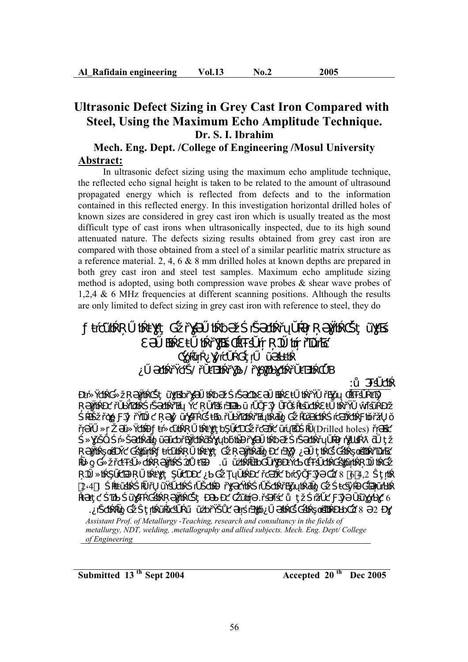# **Ultrasonic Defect Sizing in Grey Cast Iron Compared with Steel, Using the Maximum Echo Amplitude Technique. Dr. S. I. Ibrahim**

# **Mech. Eng. Dept. /College of Engineering /Mosul University Abstract:**

In ultrasonic defect sizing using the maximum echo amplitude technique, the reflected echo signal height is taken to be related to the amount of ultrasound propagated energy which is reflected from defects and to the information contained in this reflected energy. In this investigation horizontal drilled holes of known sizes are considered in grey cast iron which is usually treated as the most difficult type of cast irons when ultrasonically inspected, due to its high sound attenuated nature. The defects sizing results obtained from grey cast iron are compared with those obtained from a steel of a similar pearlitic matrix structure as a reference material. 2, 4, 6 & 8 mm drilled holes at known depths are prepared in both grey cast iron and steel test samples. Maximum echo amplitude sizing method is adopted, using both compression wave probes  $\&$  shear wave probes of 1,2,4 & 6 MHz frequencies at different scanning positions. Although the results are only limited to defect sizing in grey cast iron with reference to steel, they do



**Accepted 20<sup>th</sup> Dec 2005 Accepted 20<sup>th</sup> Dec 2005**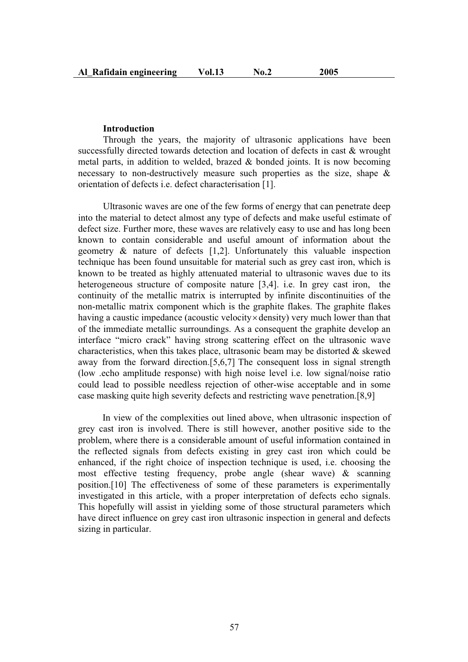#### **Introduction**

Through the years, the majority of ultrasonic applications have been successfully directed towards detection and location of defects in cast & wrought metal parts, in addition to welded, brazed & bonded joints. It is now becoming necessary to non-destructively measure such properties as the size, shape & orientation of defects i.e. defect characterisation [1].

Ultrasonic waves are one of the few forms of energy that can penetrate deep into the material to detect almost any type of defects and make useful estimate of defect size. Further more, these waves are relatively easy to use and has long been known to contain considerable and useful amount of information about the geometry & nature of defects [1,2]. Unfortunately this valuable inspection technique has been found unsuitable for material such as grey cast iron, which is known to be treated as highly attenuated material to ultrasonic waves due to its heterogeneous structure of composite nature [3,4]. i.e. In grey cast iron, the continuity of the metallic matrix is interrupted by infinite discontinuities of the non-metallic matrix component which is the graphite flakes. The graphite flakes having a caustic impedance (acoustic velocity  $\times$  density) very much lower than that of the immediate metallic surroundings. As a consequent the graphite develop an interface "micro crack" having strong scattering effect on the ultrasonic wave characteristics, when this takes place, ultrasonic beam may be distorted  $\&$  skewed away from the forward direction.[5,6,7] The consequent loss in signal strength (low .echo amplitude response) with high noise level i.e. low signal/noise ratio could lead to possible needless rejection of other-wise acceptable and in some case masking quite high severity defects and restricting wave penetration.[8,9]

In view of the complexities out lined above, when ultrasonic inspection of grey cast iron is involved. There is still however, another positive side to the problem, where there is a considerable amount of useful information contained in the reflected signals from defects existing in grey cast iron which could be enhanced, if the right choice of inspection technique is used, i.e. choosing the most effective testing frequency, probe angle (shear wave) & scanning position.[10] The effectiveness of some of these parameters is experimentally investigated in this article, with a proper interpretation of defects echo signals. This hopefully will assist in yielding some of those structural parameters which have direct influence on grey cast iron ultrasonic inspection in general and defects sizing in particular.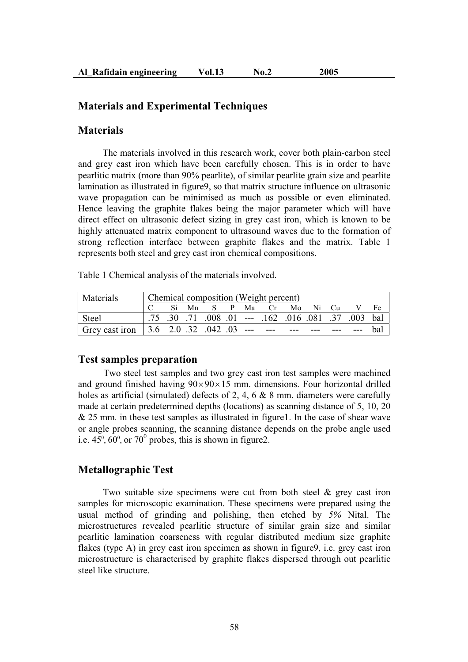### **Materials and Experimental Techniques**

#### **Materials**

The materials involved in this research work, cover both plain-carbon steel and grey cast iron which have been carefully chosen. This is in order to have pearlitic matrix (more than 90% pearlite), of similar pearlite grain size and pearlite lamination as illustrated in figure9, so that matrix structure influence on ultrasonic wave propagation can be minimised as much as possible or even eliminated. Hence leaving the graphite flakes being the major parameter which will have direct effect on ultrasonic defect sizing in grey cast iron, which is known to be highly attenuated matrix component to ultrasound waves due to the formation of strong reflection interface between graphite flakes and the matrix. Table 1 represents both steel and grey cast iron chemical compositions.

Table 1 Chemical analysis of the materials involved.

| Materials                                                             | Chemical composition (Weight percent) |  |  |  |  |  |                                                             |  |  |  |
|-----------------------------------------------------------------------|---------------------------------------|--|--|--|--|--|-------------------------------------------------------------|--|--|--|
|                                                                       |                                       |  |  |  |  |  | C Si Mn S P Ma Cr Mo Ni Cu V Fe                             |  |  |  |
| Steel                                                                 |                                       |  |  |  |  |  | 75 .30 .07 .003 .01 .-- .162 .016 .081 .37 .003 .01 .75 .75 |  |  |  |
| Grey cast iron   3.6 2.0 .32 .042 .03 --- --- --- --- --- --- --- bal |                                       |  |  |  |  |  |                                                             |  |  |  |

#### **Test samples preparation**

Two steel test samples and two grey cast iron test samples were machined and ground finished having  $90 \times 90 \times 15$  mm. dimensions. Four horizontal drilled holes as artificial (simulated) defects of 2, 4, 6 & 8 mm. diameters were carefully made at certain predetermined depths (locations) as scanning distance of 5, 10, 20 & 25 mm. in these test samples as illustrated in figure1. In the case of shear wave or angle probes scanning, the scanning distance depends on the probe angle used i.e.  $45^{\circ}$ ,  $60^{\circ}$ , or  $70^{\circ}$  probes, this is shown in figure2.

### **Metallographic Test**

Two suitable size specimens were cut from both steel  $\&$  grey cast iron samples for microscopic examination. These specimens were prepared using the usual method of grinding and polishing, then etched by *5%* Nital. The microstructures revealed pearlitic structure of similar grain size and similar pearlitic lamination coarseness with regular distributed medium size graphite flakes (type A) in grey cast iron specimen as shown in figure9, i.e. grey cast iron microstructure is characterised by graphite flakes dispersed through out pearlitic steel like structure.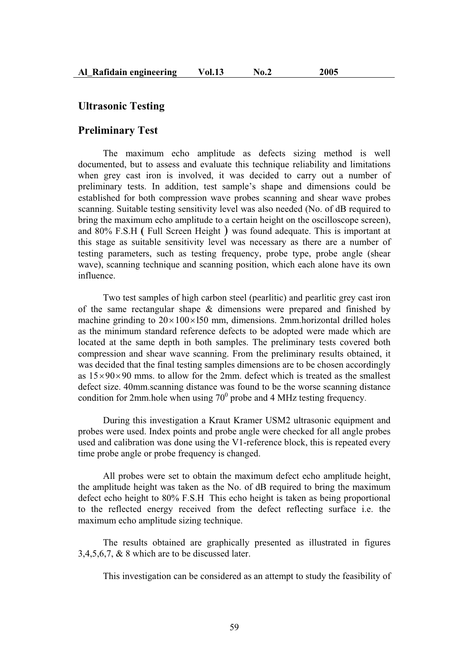#### **Ultrasonic Testing**

#### **Preliminary Test**

The maximum echo amplitude as defects sizing method is well documented, but to assess and evaluate this technique reliability and limitations when grey cast iron is involved, it was decided to carry out a number of preliminary tests. In addition, test sample's shape and dimensions could be established for both compression wave probes scanning and shear wave probes scanning. Suitable testing sensitivity level was also needed (No. of dB required to bring the maximum echo amplitude to a certain height on the oscilloscope screen), and 80% F.S.H **(** Full Screen Height ) was found adequate. This is important at this stage as suitable sensitivity level was necessary as there are a number of testing parameters, such as testing frequency, probe type, probe angle (shear wave), scanning technique and scanning position, which each alone have its own influence.

Two test samples of high carbon steel (pearlitic) and pearlitic grey cast iron of the same rectangular shape & dimensions were prepared and finished by machine grinding to  $20 \times 100 \times 150$  mm, dimensions. 2mm horizontal drilled holes as the minimum standard reference defects to be adopted were made which are located at the same depth in both samples. The preliminary tests covered both compression and shear wave scanning. From the preliminary results obtained, it was decided that the final testing samples dimensions are to be chosen accordingly as  $15\times90\times90$  mms. to allow for the 2mm. defect which is treated as the smallest defect size. 40mm.scanning distance was found to be the worse scanning distance condition for 2mm.hole when using  $70^{\circ}$  probe and 4 MHz testing frequency.

During this investigation a Kraut Kramer USM2 ultrasonic equipment and probes were used. Index points and probe angle were checked for all angle probes used and calibration was done using the V1-reference block, this is repeated every time probe angle or probe frequency is changed.

All probes were set to obtain the maximum defect echo amplitude height, the amplitude height was taken as the No. of dB required to bring the maximum defect echo height to 80% F.S.H .This echo height is taken as being proportional to the reflected energy received from the defect reflecting surface i.e. the maximum echo amplitude sizing technique.

The results obtained are graphically presented as illustrated in figures 3,4,5,6,7, & 8 which are to be discussed later.

This investigation can be considered as an attempt to study the feasibility of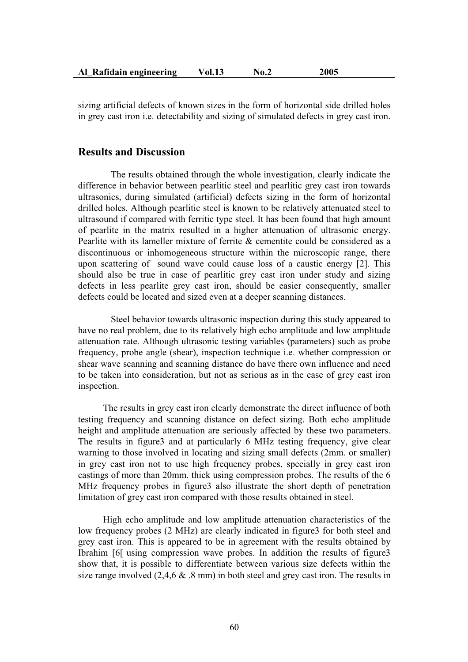| Al Rafidain engineering | <b>Vol.13</b> | No.2 | 2005 |
|-------------------------|---------------|------|------|
|-------------------------|---------------|------|------|

sizing artificial defects of known sizes in the form of horizontal side drilled holes in grey cast iron i.e. detectability and sizing of simulated defects in grey cast iron.

## **Results and Discussion**

The results obtained through the whole investigation, clearly indicate the difference in behavior between pearlitic steel and pearlitic grey cast iron towards ultrasonics, during simulated (artificial) defects sizing in the form of horizontal drilled holes. Although pearlitic steel is known to be relatively attenuated steel to ultrasound if compared with ferritic type steel. It has been found that high amount of pearlite in the matrix resulted in a higher attenuation of ultrasonic energy. Pearlite with its lameller mixture of ferrite & cementite could be considered as a discontinuous or inhomogeneous structure within the microscopic range, there upon scattering of sound wave could cause loss of a caustic energy [2]. This should also be true in case of pearlitic grey cast iron under study and sizing defects in less pearlite grey cast iron, should be easier consequently, smaller defects could be located and sized even at a deeper scanning distances.

Steel behavior towards ultrasonic inspection during this study appeared to have no real problem, due to its relatively high echo amplitude and low amplitude attenuation rate. Although ultrasonic testing variables (parameters) such as probe frequency, probe angle (shear), inspection technique i.e. whether compression or shear wave scanning and scanning distance do have there own influence and need to be taken into consideration, but not as serious as in the case of grey cast iron inspection.

The results in grey cast iron clearly demonstrate the direct influence of both testing frequency and scanning distance on defect sizing. Both echo amplitude height and amplitude attenuation are seriously affected by these two parameters. The results in figure3 and at particularly 6 MHz testing frequency, give clear warning to those involved in locating and sizing small defects (2mm. or smaller) in grey cast iron not to use high frequency probes, specially in grey cast iron castings of more than 20mm. thick using compression probes. The results of the 6 MHz frequency probes in figure3 also illustrate the short depth of penetration limitation of grey cast iron compared with those results obtained in steel.

High echo amplitude and low amplitude attenuation characteristics of the low frequency probes (2 MHz) are clearly indicated in figure3 for both steel and grey cast iron. This is appeared to be in agreement with the results obtained by Ibrahim [6[ using compression wave probes. In addition the results of figure3 show that, it is possible to differentiate between various size defects within the size range involved  $(2,4,6 \& .8 \text{ mm})$  in both steel and grey cast iron. The results in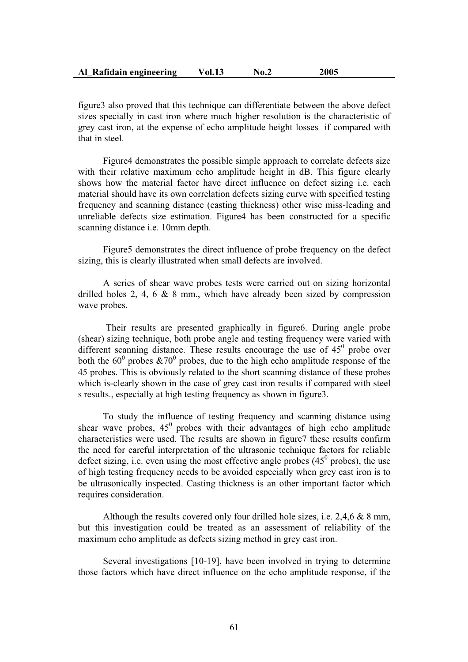| Al Rafidain engineering | Vol.13 | No.2 | 2005 |
|-------------------------|--------|------|------|
|-------------------------|--------|------|------|

figure3 also proved that this technique can differentiate between the above defect sizes specially in cast iron where much higher resolution is the characteristic of grey cast iron, at the expense of echo amplitude height losses , if compared with that in steel.

Figure4 demonstrates the possible simple approach to correlate defects size with their relative maximum echo amplitude height in dB. This figure clearly shows how the material factor have direct influence on defect sizing i.e. each material should have its own correlation defects sizing curve with specified testing frequency and scanning distance (casting thickness) other wise miss-leading and unreliable defects size estimation. Figure4 has been constructed for a specific scanning distance i.e. 10mm depth.

Figure5 demonstrates the direct influence of probe frequency on the defect sizing, this is clearly illustrated when small defects are involved.

A series of shear wave probes tests were carried out on sizing horizontal drilled holes 2, 4, 6 & 8 mm., which have already been sized by compression wave probes.

Their results are presented graphically in figure6. During angle probe (shear) sizing technique, both probe angle and testing frequency were varied with different scanning distance. These results encourage the use of  $45^{\circ}$  probe over both the  $60^{\circ}$  probes  $&70^{\circ}$  probes, due to the high echo amplitude response of the 45 probes. This is obviously related to the short scanning distance of these probes which is-clearly shown in the case of grey cast iron results if compared with steel s results., especially at high testing frequency as shown in figure3.

To study the influence of testing frequency and scanning distance using shear wave probes,  $45^{\circ}$  probes with their advantages of high echo amplitude characteristics were used. The results are shown in figure7 these results confirm the need for careful interpretation of the ultrasonic technique factors for reliable defect sizing, i.e. even using the most effective angle probes  $(45^{\circ}$  probes), the use of high testing frequency needs to be avoided especially when grey cast iron is to be ultrasonically inspected. Casting thickness is an other important factor which requires consideration.

Although the results covered only four drilled hole sizes, i.e. 2,4,6 & 8 mm, but this investigation could be treated as an assessment of reliability of the maximum echo amplitude as defects sizing method in grey cast iron.

Several investigations [10-19], have been involved in trying to determine those factors which have direct influence on the echo amplitude response, if the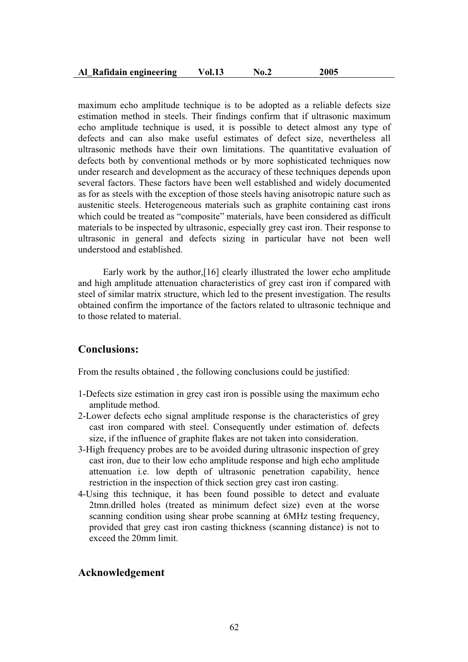| Al Rafidain engineering | <b>Vol.13</b> | No.2 | 2005 |
|-------------------------|---------------|------|------|
|-------------------------|---------------|------|------|

maximum echo amplitude technique is to be adopted as a reliable defects size estimation method in steels. Their findings confirm that if ultrasonic maximum echo amplitude technique is used, it is possible to detect almost any type of defects and can also make useful estimates of defect size, nevertheless all ultrasonic methods have their own limitations. The quantitative evaluation of defects both by conventional methods or by more sophisticated techniques now under research and development as the accuracy of these techniques depends upon several factors. These factors have been well established and widely documented as for as steels with the exception of those steels having anisotropic nature such as austenitic steels. Heterogeneous materials such as graphite containing cast irons which could be treated as "composite" materials, have been considered as difficult materials to be inspected by ultrasonic, especially grey cast iron. Their response to ultrasonic in general and defects sizing in particular have not been well understood and established.

Early work by the author,[16] clearly illustrated the lower echo amplitude and high amplitude attenuation characteristics of grey cast iron if compared with steel of similar matrix structure, which led to the present investigation. The results obtained confirm the importance of the factors related to ultrasonic technique and to those related to material.

# **Conclusions:**

From the results obtained , the following conclusions could be justified:

- 1-Defects size estimation in grey cast iron is possible using the maximum echo amplitude method.
- 2-Lower defects echo signal amplitude response is the characteristics of grey cast iron compared with steel. Consequently under estimation of. defects size, if the influence of graphite flakes are not taken into consideration.
- 3-High frequency probes are to be avoided during ultrasonic inspection of grey cast iron, due to their low echo amplitude response and high echo amplitude attenuation i.e. low depth of ultrasonic penetration capability, hence restriction in the inspection of thick section grey cast iron casting.
- 4-Using this technique, it has been found possible to detect and evaluate 2tmn.drilled holes (treated as minimum defect size) even at the worse scanning condition using shear probe scanning at 6MHz testing frequency, provided that grey cast iron casting thickness (scanning distance) is not to exceed the 20mm limit.

# **Acknowledgement**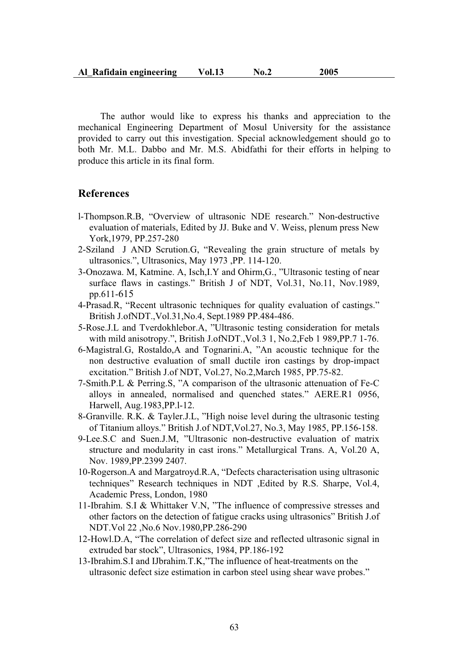| Al Rafidain engineering | <b>Vol.13</b> | No.2 | 2005 |
|-------------------------|---------------|------|------|
|-------------------------|---------------|------|------|

The author would like to express his thanks and appreciation to the mechanical Engineering Department of Mosul University for the assistance provided to carry out this investigation. Special acknowledgement should go to both Mr. M.L. Dabbo and Mr. M.S. Abidfathi for their efforts in helping to produce this article in its final form.

#### **References**

- l-Thompson.R.B, "Overview of ultrasonic NDE research." Non-destructive evaluation of materials, Edited by JJ. Buke and V. Weiss, plenum press New York,1979, PP.257-280
- 2-Sziland . J AND Scrution.G, "Revealing the grain structure of metals by ultrasonics.", Ultrasonics, May 1973 ,PP. 114-120.
- 3-Onozawa. M, Katmine. A, Isch,I.Y and Ohirm,G., "Ultrasonic testing of near surface flaws in castings." British J of NDT, Vol.31, No.11, Nov.1989, pp.611-615
- 4-Prasad.R, "Recent ultrasonic techniques for quality evaluation of castings." British J.ofNDT.,Vol.31,No.4, Sept.1989 PP.484-486.
- 5-Rose.J.L and Tverdokhlebor.A, "Ultrasonic testing consideration for metals with mild anisotropy.", British J.ofNDT.,Vol.3 1, No.2,Feb 1 989,PP.7 1-76.
- 6-Magistral.G, Rostaldo,A and Tognarini.A, "An acoustic technique for the non destructive evaluation of small ductile iron castings by drop-impact excitation." British J.of NDT, Vol.27, No.2,March 1985, PP.75-82.
- 7-Smith.P.L & Perring.S, "A comparison of the ultrasonic attenuation of Fe-C alloys in annealed, normalised and quenched states." AERE.R1 0956, Harwell, Aug.1983,PP.l-12.
- 8-Granville. R.K. & Tayler.J.L, "High noise level during the ultrasonic testing of Titanium alloys." British J.of NDT,Vol.27, No.3, May 1985, PP.156-158.
- 9-Lee.S.C and Suen.J.M, "Ultrasonic non-destructive evaluation of matrix structure and modularity in cast irons." Metallurgical Trans. A, Vol.20 A, Nov. 1989,PP.2399 2407.
- 10-Rogerson.A and Margatroyd.R.A, "Defects characterisation using ultrasonic techniques" Research techniques in NDT ,Edited by R.S. Sharpe, Vol.4, Academic Press, London, 1980
- 11-Ibrahim. S.I & Whittaker V.N, "The influence of compressive stresses and other factors on the detection of fatigue cracks using ultrasonics" British J.of NDT.Vol 22 ,No.6 Nov.1980,PP.286-290
- 12-Howl.D.A, "The correlation of defect size and reflected ultrasonic signal in extruded bar stock", Ultrasonics, 1984, PP.186-192
- 13-Ibrahim.S.I and IJbrahim.T.K,"The influence of heat-treatments on the ultrasonic defect size estimation in carbon steel using shear wave probes."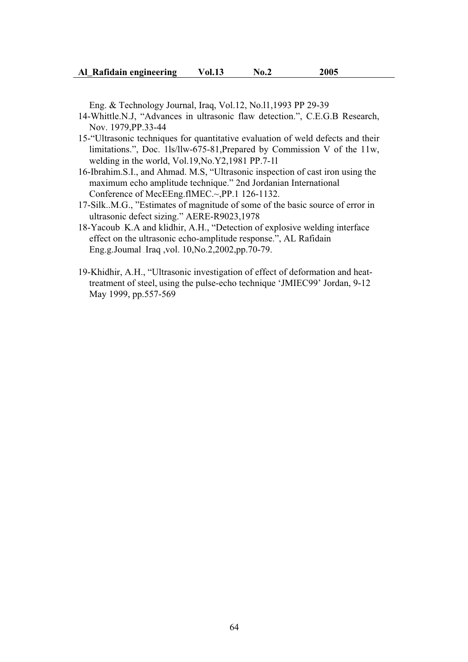Eng. & Technology Journal, Iraq, Vol.12, No.l1,1993 PP 29-39

- 14-Whittle.N.J, "Advances in ultrasonic flaw detection.", C.E.G.B Research, Nov. 1979,PP.33-44
- 15-"Ultrasonic techniques for quantitative evaluation of weld defects and their limitations.", Doc. 1ls/llw-675-81,Prepared by Commission V of the 11w, welding in the world, Vol.19,No.Y2,1981 PP.7-1l
- 16-Ibrahim.S.I., and Ahmad. M.S, "Ultrasonic inspection of cast iron using the maximum echo amplitude technique." 2nd Jordanian International Conference of MecEEng.flMEC.~,PP.1 126-1132.
- 17-Silk..M.G., "Estimates of magnitude of some of the basic source of error in ultrasonic defect sizing." AERE-R9023,1978
- 18-Yacoub ,K.A and klidhir, A.H., "Detection of explosive welding interface effect on the ultrasonic echo-amplitude response.", AL Rafidain Eng.g.Joumal ,Iraq ,vol. 10,No.2,2002,pp.70-79.
- 19-Khidhir, A.H., "Ultrasonic investigation of effect of deformation and heattreatment of steel, using the pulse-echo technique 'JMIEC99' Jordan, 9-12 May 1999, pp.557-569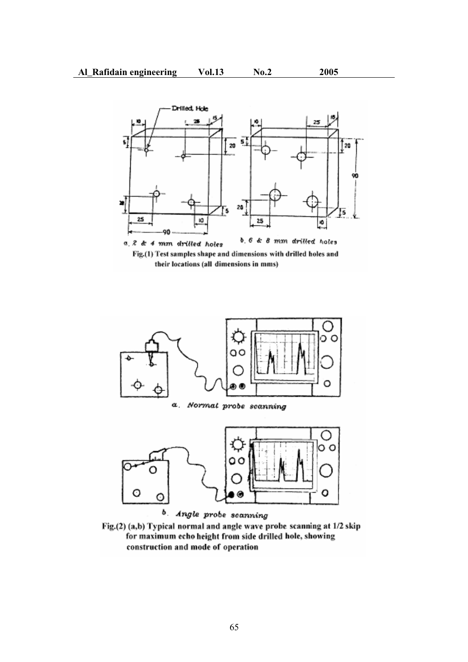

their locations (all dimensions in mms)



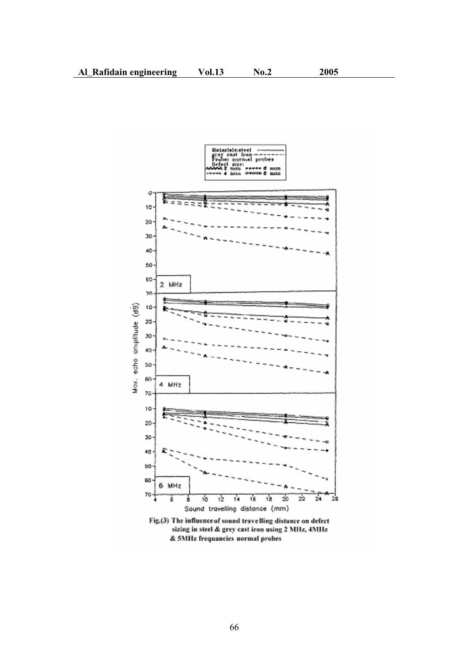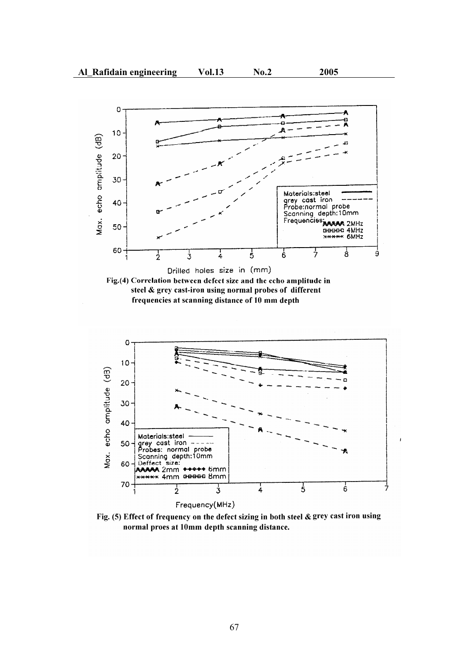





Fig. (5) Effect of frequency on the defect sizing in both steel & grey cast iron using normal proes at 10mm depth scanning distance.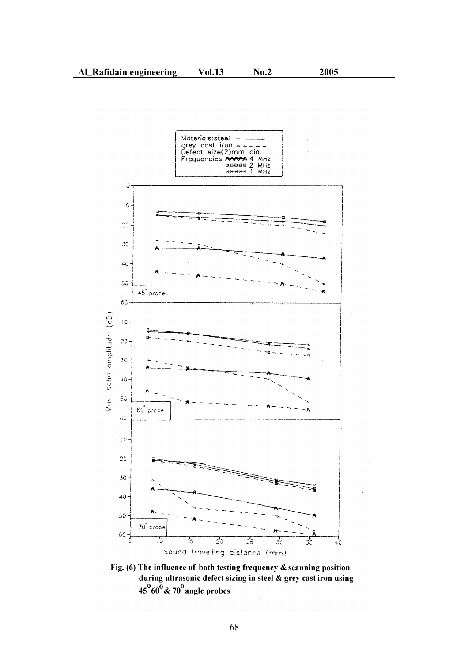

Fig. (6) The influence of both testing frequency  $\&$  scanning position during ultrasonic defect sizing in steel & grey cast iron using  $45^{0}60^{0}$  & 70<sup>0</sup> angle probes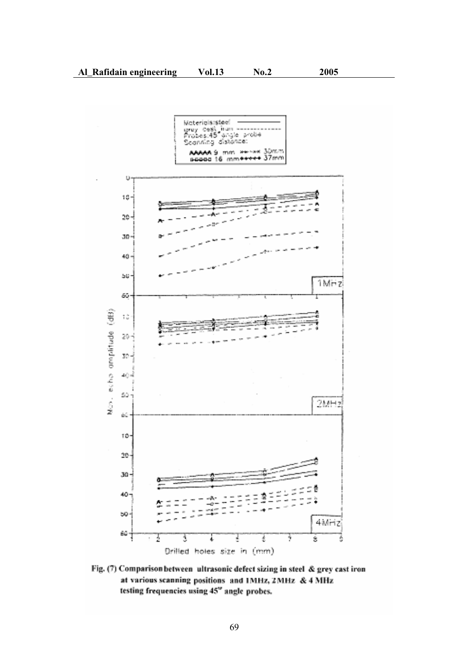

Fig. (7) Comparison between ultrasonic defect sizing in steel & grey cast iron at various scanning positions and IMHz, 2MHz & 4 MHz testing frequencies using 45" angle probes.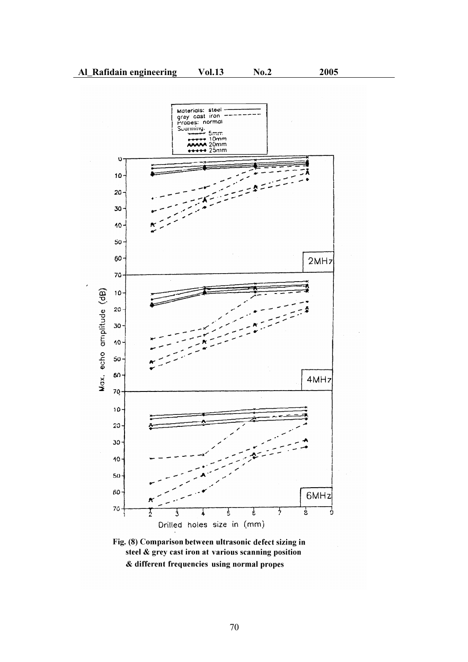